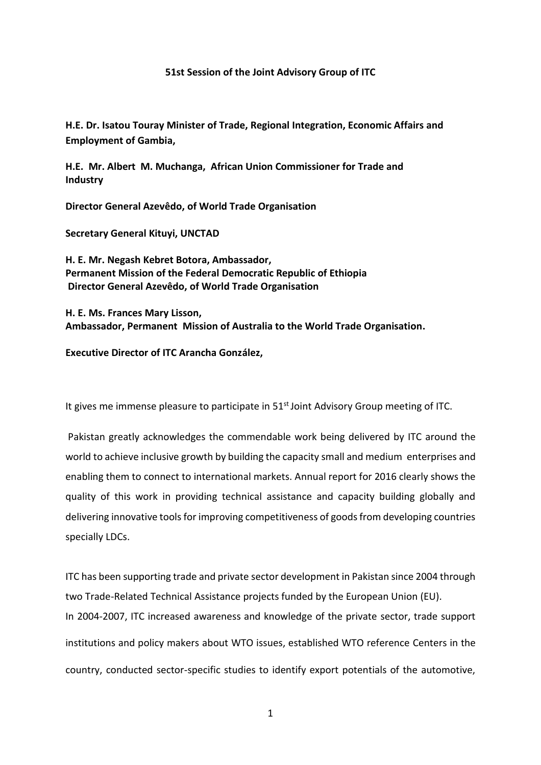## **51st Session of the Joint Advisory Group of ITC**

**H.E. Dr. Isatou Touray Minister of Trade, Regional Integration, Economic Affairs and Employment of Gambia,** 

**H.E. Mr. Albert M. Muchanga, African Union Commissioner for Trade and Industry**

**Director General Azevêdo, of World Trade Organisation**

**Secretary General Kituyi, UNCTAD**

**H. E. Mr. Negash Kebret Botora, Ambassador, Permanent Mission of the Federal Democratic Republic of Ethiopia Director General Azevêdo, of World Trade Organisation**

**H. E. Ms. Frances Mary Lisson, Ambassador, Permanent Mission of Australia to the World Trade Organisation.**

**Executive Director of ITC Arancha González,** 

It gives me immense pleasure to participate in 51<sup>st</sup> Joint Advisory Group meeting of ITC.

Pakistan greatly acknowledges the commendable work being delivered by ITC around the world to achieve inclusive growth by building the capacity small and medium enterprises and enabling them to connect to international markets. Annual report for 2016 clearly shows the quality of this work in providing technical assistance and capacity building globally and delivering innovative tools for improving competitiveness of goods from developing countries specially LDCs.

ITC has been supporting trade and private sector development in Pakistan since 2004 through two Trade-Related Technical Assistance projects funded by the European Union (EU). In 2004-2007, ITC increased awareness and knowledge of the private sector, trade support institutions and policy makers about WTO issues, established WTO reference Centers in the country, conducted sector-specific studies to identify export potentials of the automotive,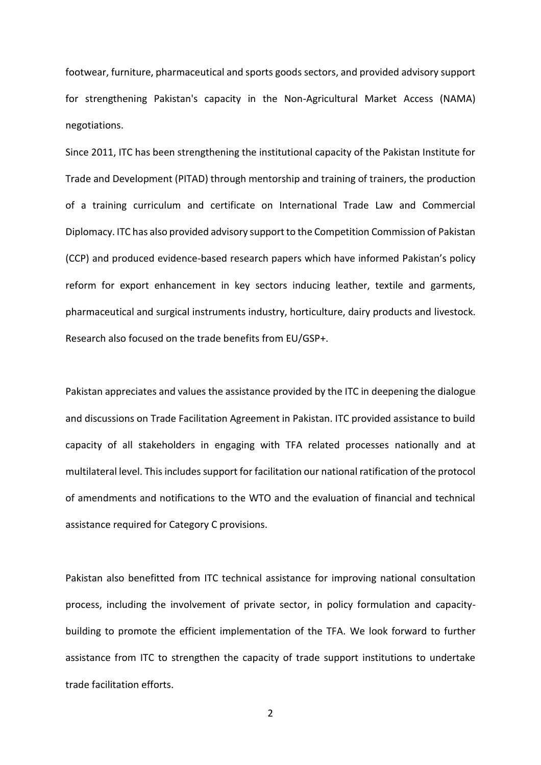footwear, furniture, pharmaceutical and sports goods sectors, and provided advisory support for strengthening Pakistan's capacity in the Non-Agricultural Market Access (NAMA) negotiations.

Since 2011, ITC has been strengthening the institutional capacity of the Pakistan Institute for Trade and Development (PITAD) through mentorship and training of trainers, the production of a training curriculum and certificate on International Trade Law and Commercial Diplomacy. ITC has also provided advisory support to the Competition Commission of Pakistan (CCP) and produced evidence-based research papers which have informed Pakistan's policy reform for export enhancement in key sectors inducing leather, textile and garments, pharmaceutical and surgical instruments industry, horticulture, dairy products and livestock. Research also focused on the trade benefits from EU/GSP+.

Pakistan appreciates and values the assistance provided by the ITC in deepening the dialogue and discussions on Trade Facilitation Agreement in Pakistan. ITC provided assistance to build capacity of all stakeholders in engaging with TFA related processes nationally and at multilateral level. This includes support for facilitation our national ratification of the protocol of amendments and notifications to the WTO and the evaluation of financial and technical assistance required for Category C provisions.

Pakistan also benefitted from ITC technical assistance for improving national consultation process, including the involvement of private sector, in policy formulation and capacitybuilding to promote the efficient implementation of the TFA. We look forward to further assistance from ITC to strengthen the capacity of trade support institutions to undertake trade facilitation efforts.

2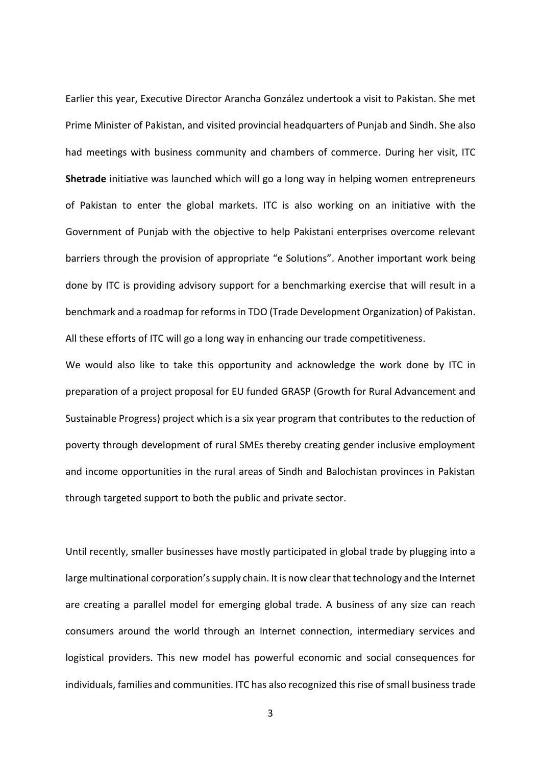Earlier this year, Executive Director Arancha González undertook a visit to Pakistan. She met Prime Minister of Pakistan, and visited provincial headquarters of Punjab and Sindh. She also had meetings with business community and chambers of commerce. During her visit, ITC **Shetrade** initiative was launched which will go a long way in helping women entrepreneurs of Pakistan to enter the global markets. ITC is also working on an initiative with the Government of Punjab with the objective to help Pakistani enterprises overcome relevant barriers through the provision of appropriate "e Solutions". Another important work being done by ITC is providing advisory support for a benchmarking exercise that will result in a benchmark and a roadmap for reforms in TDO (Trade Development Organization) of Pakistan. All these efforts of ITC will go a long way in enhancing our trade competitiveness.

We would also like to take this opportunity and acknowledge the work done by ITC in preparation of a project proposal for EU funded GRASP (Growth for Rural Advancement and Sustainable Progress) project which is a six year program that contributes to the reduction of poverty through development of rural SMEs thereby creating gender inclusive employment and income opportunities in the rural areas of Sindh and Balochistan provinces in Pakistan through targeted support to both the public and private sector.

Until recently, smaller businesses have mostly participated in global trade by plugging into a large multinational corporation's supply chain. It is now clear that technology and the Internet are creating a parallel model for emerging global trade. A business of any size can reach consumers around the world through an Internet connection, intermediary services and logistical providers. This new model has powerful economic and social consequences for individuals, families and communities. ITC has also recognized this rise of small business trade

3